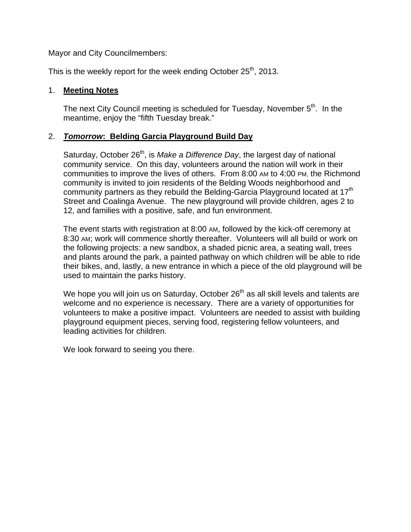Mayor and City Councilmembers:

This is the weekly report for the week ending October 25<sup>th</sup>, 2013.

#### 1. **Meeting Notes**

The next City Council meeting is scheduled for Tuesday, November  $5<sup>th</sup>$ . In the meantime, enjoy the "fifth Tuesday break."

### 2. *Tomorrow***: Belding Garcia Playground Build Day**

Saturday, October 26<sup>th</sup>, is *Make a Difference Day*, the largest day of national community service. On this day, volunteers around the nation will work in their communities to improve the lives of others. From 8:00 AM to 4:00 PM, the Richmond community is invited to join residents of the Belding Woods neighborhood and community partners as they rebuild the Belding-Garcia Playground located at  $17<sup>th</sup>$ Street and Coalinga Avenue. The new playground will provide children, ages 2 to 12, and families with a positive, safe, and fun environment.

The event starts with registration at 8:00 AM, followed by the kick-off ceremony at 8:30 AM; work will commence shortly thereafter. Volunteers will all build or work on the following projects: a new sandbox, a shaded picnic area, a seating wall, trees and plants around the park, a painted pathway on which children will be able to ride their bikes, and, lastly, a new entrance in which a piece of the old playground will be used to maintain the parks history.

We hope you will join us on Saturday, October 26<sup>th</sup> as all skill levels and talents are welcome and no experience is necessary. There are a variety of opportunities for volunteers to make a positive impact. Volunteers are needed to assist with building playground equipment pieces, serving food, registering fellow volunteers, and leading activities for children.

We look forward to seeing you there.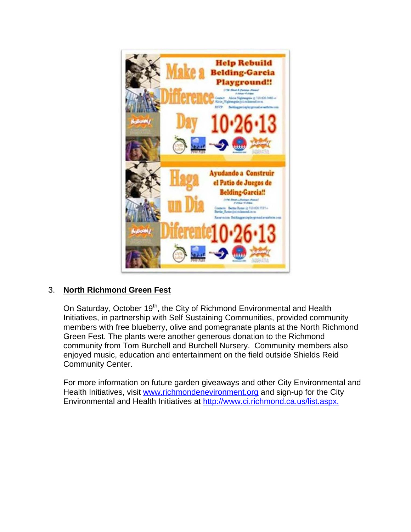

# 3. **North Richmond Green Fest**

On Saturday, October 19<sup>th</sup>, the City of Richmond Environmental and Health Initiatives, in partnership with Self Sustaining Communities, provided community members with free blueberry, olive and pomegranate plants at the North Richmond Green Fest. The plants were another generous donation to the Richmond community from Tom Burchell and Burchell Nursery. Community members also enjoyed music, education and entertainment on the field outside Shields Reid Community Center.

For more information on future garden giveaways and other City Environmental and Health Initiatives, visit www.richmondenevironment.org and sign-up for the City Environmental and Health Initiatives at http://www.ci.richmond.ca.us/list.aspx.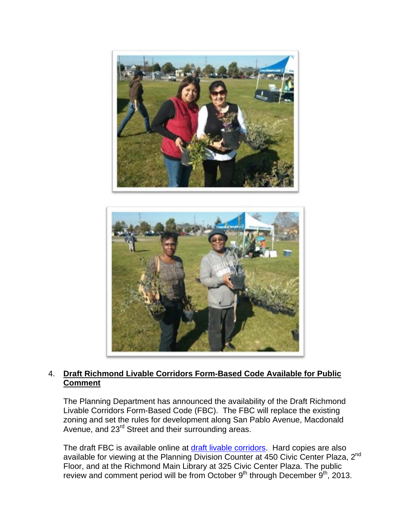



### 4. **Draft Richmond Livable Corridors Form-Based Code Available for Public Comment**

The Planning Department has announced the availability of the Draft Richmond Livable Corridors Form-Based Code (FBC). The FBC will replace the existing zoning and set the rules for development along San Pablo Avenue, Macdonald Avenue, and 23<sup>rd</sup> Street and their surrounding areas.

The draft FBC is available online at draft livable corridors. Hard copies are also available for viewing at the Planning Division Counter at 450 Civic Center Plaza, 2nd Floor, and at the Richmond Main Library at 325 Civic Center Plaza. The public review and comment period will be from October  $9<sup>th</sup>$  through December  $9<sup>th</sup>$ , 2013.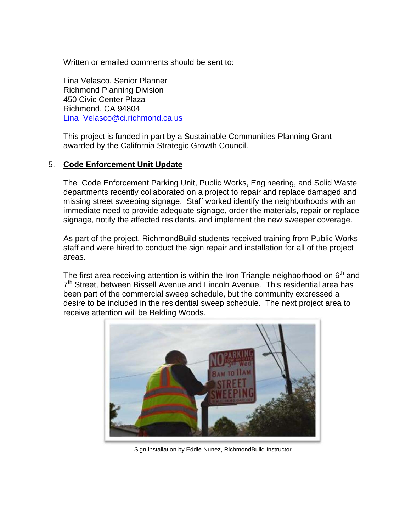Written or emailed comments should be sent to:

Lina Velasco, Senior Planner Richmond Planning Division 450 Civic Center Plaza Richmond, CA 94804 Lina\_Velasco@ci.richmond.ca.us

This project is funded in part by a Sustainable Communities Planning Grant awarded by the California Strategic Growth Council.

### 5. **Code Enforcement Unit Update**

The Code Enforcement Parking Unit, Public Works, Engineering, and Solid Waste departments recently collaborated on a project to repair and replace damaged and missing street sweeping signage. Staff worked identify the neighborhoods with an immediate need to provide adequate signage, order the materials, repair or replace signage, notify the affected residents, and implement the new sweeper coverage.

As part of the project, RichmondBuild students received training from Public Works staff and were hired to conduct the sign repair and installation for all of the project areas.

The first area receiving attention is within the Iron Triangle neighborhood on  $6<sup>th</sup>$  and 7<sup>th</sup> Street, between Bissell Avenue and Lincoln Avenue. This residential area has been part of the commercial sweep schedule, but the community expressed a desire to be included in the residential sweep schedule. The next project area to receive attention will be Belding Woods.



Sign installation by Eddie Nunez, RichmondBuild Instructor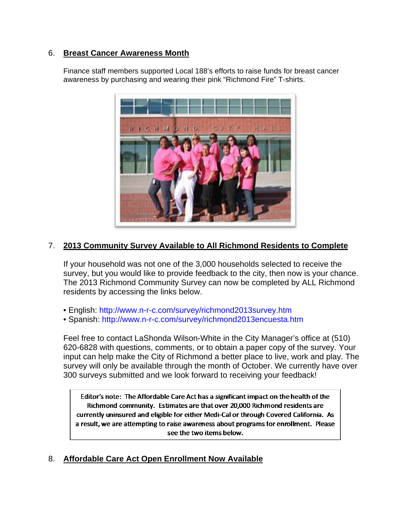### 6. **Breast Cancer Awareness Month**

Finance staff members supported Local 188's efforts to raise funds for breast cancer awareness by purchasing and wearing their pink "Richmond Fire" T-shirts.



## 7. **2013 Community Survey Available to All Richmond Residents to Complete**

If your household was not one of the 3,000 households selected to receive the survey, but you would like to provide feedback to the city, then now is your chance. The 2013 Richmond Community Survey can now be completed by ALL Richmond residents by accessing the links below.

- English: http://www.n-r-c.com/survey/richmond2013survey.htm
- Spanish: http://www.n-r-c.com/survey/richmond2013encuesta.htm

Feel free to contact LaShonda Wilson-White in the City Manager's office at (510) 620-6828 with questions, comments, or to obtain a paper copy of the survey. Your input can help make the City of Richmond a better place to live, work and play. The survey will only be available through the month of October. We currently have over 300 surveys submitted and we look forward to receiving your feedback!

Editor's note: The Affordable Care Act has a significant impact on the health of the Richmond community. Estimates are that over 20,000 Richmond residents are currently uninsured and eligible for either Medi-Cal or through Covered California. As a result, we are attempting to raise awareness about programs for enrollment. Please see the two items below.

# 8. **Affordable Care Act Open Enrollment Now Available**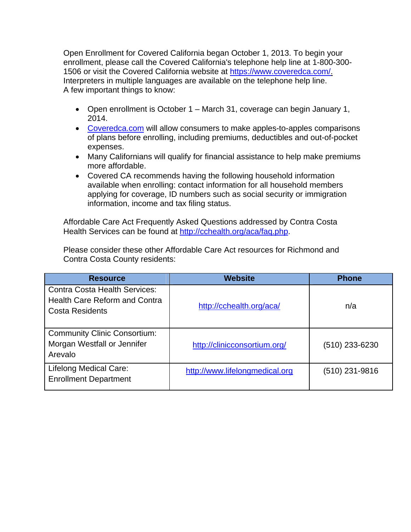Open Enrollment for Covered California began October 1, 2013. To begin your enrollment, please call the Covered California's telephone help line at 1-800-300- 1506 or visit the Covered California website at https://www.coveredca.com/. Interpreters in multiple languages are available on the telephone help line. A few important things to know:

- Open enrollment is October 1 March 31, coverage can begin January 1, 2014.
- Coveredca.com will allow consumers to make apples-to-apples comparisons of plans before enrolling, including premiums, deductibles and out-of-pocket expenses.
- Many Californians will qualify for financial assistance to help make premiums more affordable.
- Covered CA recommends having the following household information available when enrolling: contact information for all household members applying for coverage, ID numbers such as social security or immigration information, income and tax filing status.

Affordable Care Act Frequently Asked Questions addressed by Contra Costa Health Services can be found at http://cchealth.org/aca/faq.php.

Please consider these other Affordable Care Act resources for Richmond and Contra Costa County residents:

| <b>Resource</b>                                                                                        | <b>Website</b>                 | <b>Phone</b>   |
|--------------------------------------------------------------------------------------------------------|--------------------------------|----------------|
| <b>Contra Costa Health Services:</b><br><b>Health Care Reform and Contra</b><br><b>Costa Residents</b> | http://cchealth.org/aca/       | n/a            |
| <b>Community Clinic Consortium:</b><br>Morgan Westfall or Jennifer<br>Arevalo                          | http://clinicconsortium.org/   | (510) 233-6230 |
| <b>Lifelong Medical Care:</b><br><b>Enrollment Department</b>                                          | http://www.lifelongmedical.org | (510) 231-9816 |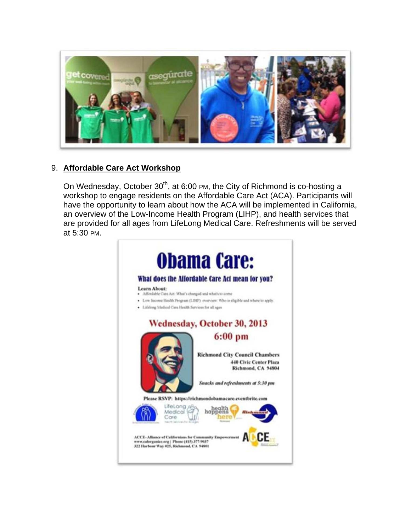

## 9. **Affordable Care Act Workshop**

On Wednesday, October 30<sup>th</sup>, at 6:00 PM, the City of Richmond is co-hosting a workshop to engage residents on the Affordable Care Act (ACA). Participants will have the opportunity to learn about how the ACA will be implemented in California, an overview of the Low-Income Health Program (LIHP), and health services that are provided for all ages from LifeLong Medical Care. Refreshments will be served at 5:30 PM.

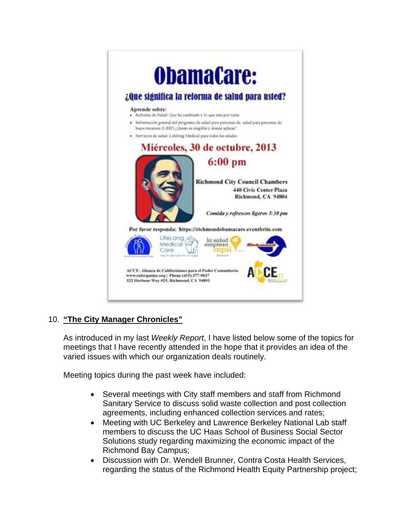

# 10. **"The City Manager Chronicles"**

As introduced in my last *Weekly Report*, I have listed below some of the topics for meetings that I have recently attended in the hope that it provides an idea of the varied issues with which our organization deals routinely.

Meeting topics during the past week have included:

- Several meetings with City staff members and staff from Richmond Sanitary Service to discuss solid waste collection and post collection agreements, including enhanced collection services and rates;
- Meeting with UC Berkeley and Lawrence Berkeley National Lab staff members to discuss the UC Haas School of Business Social Sector Solutions study regarding maximizing the economic impact of the Richmond Bay Campus;
- Discussion with Dr. Wendell Brunner, Contra Costa Health Services, regarding the status of the Richmond Health Equity Partnership project;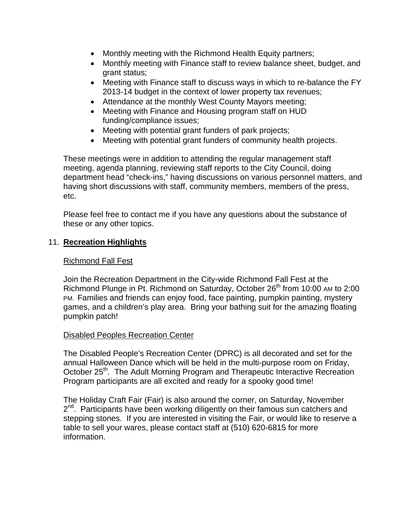- Monthly meeting with the Richmond Health Equity partners;
- Monthly meeting with Finance staff to review balance sheet, budget, and grant status;
- Meeting with Finance staff to discuss ways in which to re-balance the FY 2013-14 budget in the context of lower property tax revenues;
- Attendance at the monthly West County Mayors meeting;
- Meeting with Finance and Housing program staff on HUD funding/compliance issues;
- Meeting with potential grant funders of park projects;
- Meeting with potential grant funders of community health projects.

These meetings were in addition to attending the regular management staff meeting, agenda planning, reviewing staff reports to the City Council, doing department head "check-ins," having discussions on various personnel matters, and having short discussions with staff, community members, members of the press, etc.

Please feel free to contact me if you have any questions about the substance of these or any other topics.

### 11. **Recreation Highlights**

### Richmond Fall Fest

Join the Recreation Department in the City-wide Richmond Fall Fest at the Richmond Plunge in Pt. Richmond on Saturday, October  $26<sup>th</sup>$  from 10:00 AM to 2:00 PM. Families and friends can enjoy food, face painting, pumpkin painting, mystery games, and a children's play area. Bring your bathing suit for the amazing floating pumpkin patch!

### Disabled Peoples Recreation Center

The Disabled People's Recreation Center (DPRC) is all decorated and set for the annual Halloween Dance which will be held in the multi-purpose room on Friday, October 25<sup>th</sup>. The Adult Morning Program and Therapeutic Interactive Recreation Program participants are all excited and ready for a spooky good time!

The Holiday Craft Fair (Fair) is also around the corner, on Saturday, November  $2<sup>nd</sup>$ . Participants have been working diligently on their famous sun catchers and stepping stones. If you are interested in visiting the Fair, or would like to reserve a table to sell your wares, please contact staff at (510) 620-6815 for more information.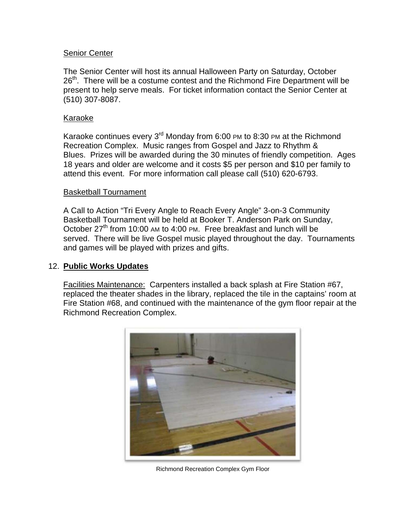#### Senior Center

The Senior Center will host its annual Halloween Party on Saturday, October  $26<sup>th</sup>$ . There will be a costume contest and the Richmond Fire Department will be present to help serve meals. For ticket information contact the Senior Center at (510) 307-8087.

#### Karaoke

Karaoke continues every  $3<sup>rd</sup>$  Monday from 6:00 PM to 8:30 PM at the Richmond Recreation Complex. Music ranges from Gospel and Jazz to Rhythm & Blues. Prizes will be awarded during the 30 minutes of friendly competition. Ages 18 years and older are welcome and it costs \$5 per person and \$10 per family to attend this event. For more information call please call (510) 620-6793.

#### Basketball Tournament

A Call to Action "Tri Every Angle to Reach Every Angle" 3-on-3 Community Basketball Tournament will be held at Booker T. Anderson Park on Sunday, October 27<sup>th</sup> from 10:00 AM to 4:00 PM. Free breakfast and lunch will be served. There will be live Gospel music played throughout the day. Tournaments and games will be played with prizes and gifts.

#### 12. **Public Works Updates**

Facilities Maintenance: Carpenters installed a back splash at Fire Station #67, replaced the theater shades in the library, replaced the tile in the captains' room at Fire Station #68, and continued with the maintenance of the gym floor repair at the Richmond Recreation Complex.



Richmond Recreation Complex Gym Floor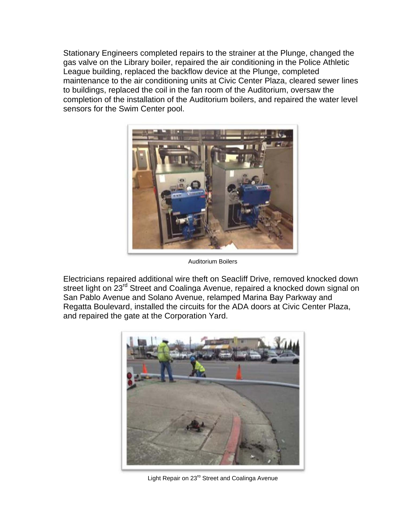Stationary Engineers completed repairs to the strainer at the Plunge, changed the gas valve on the Library boiler, repaired the air conditioning in the Police Athletic League building, replaced the backflow device at the Plunge, completed maintenance to the air conditioning units at Civic Center Plaza, cleared sewer lines to buildings, replaced the coil in the fan room of the Auditorium, oversaw the completion of the installation of the Auditorium boilers, and repaired the water level sensors for the Swim Center pool.



Auditorium Boilers

Electricians repaired additional wire theft on Seacliff Drive, removed knocked down street light on 23<sup>rd</sup> Street and Coalinga Avenue, repaired a knocked down signal on San Pablo Avenue and Solano Avenue, relamped Marina Bay Parkway and Regatta Boulevard, installed the circuits for the ADA doors at Civic Center Plaza, and repaired the gate at the Corporation Yard.



Light Repair on 23<sup>rd</sup> Street and Coalinga Avenue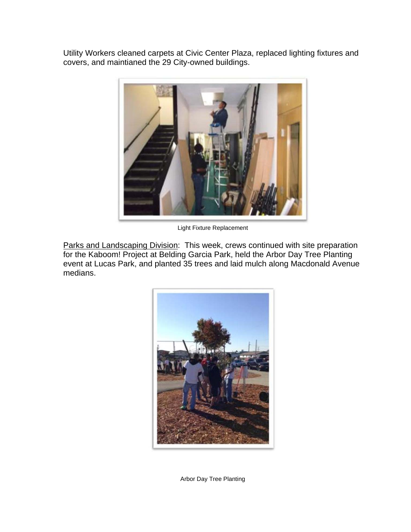Utility Workers cleaned carpets at Civic Center Plaza, replaced lighting fixtures and covers, and maintianed the 29 City-owned buildings.



Light Fixture Replacement

Parks and Landscaping Division: This week, crews continued with site preparation for the Kaboom! Project at Belding Garcia Park, held the Arbor Day Tree Planting event at Lucas Park, and planted 35 trees and laid mulch along Macdonald Avenue medians.



Arbor Day Tree Planting